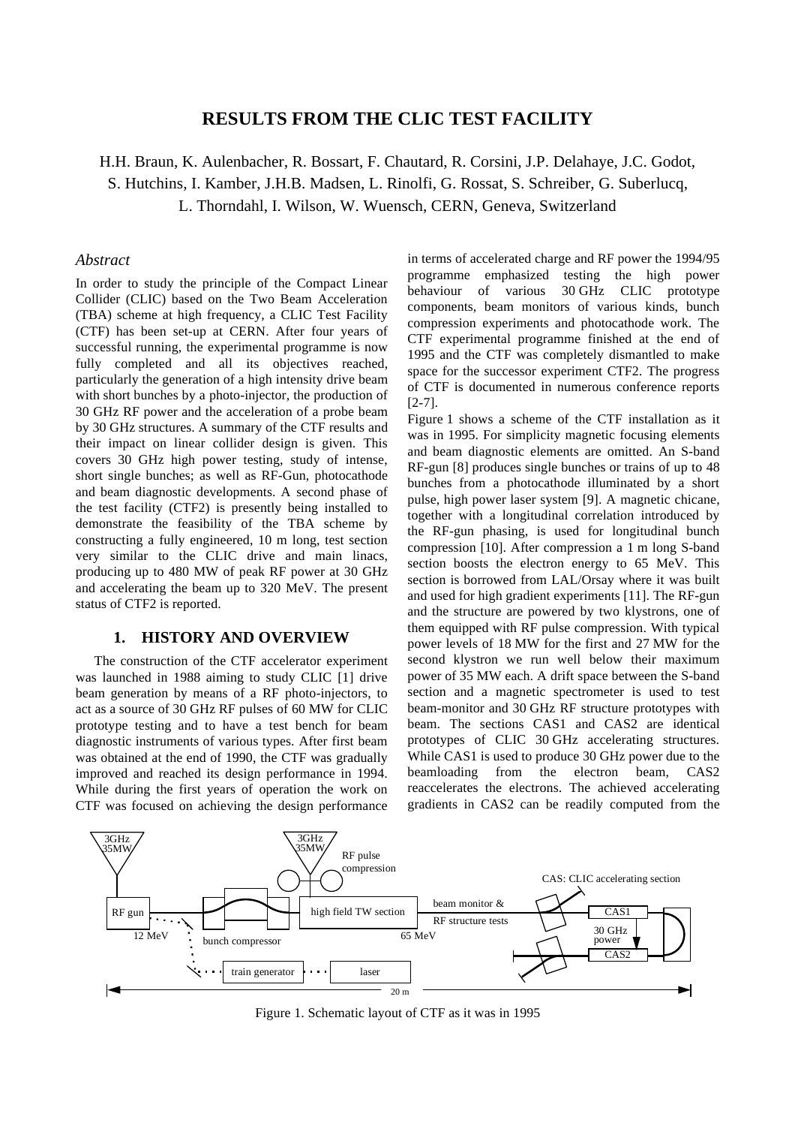# **RESULTS FROM THE CLIC TEST FACILITY**

H.H. Braun, K. Aulenbacher, R. Bossart, F. Chautard, R. Corsini, J.P. Delahaye, J.C. Godot,

S. Hutchins, I. Kamber, J.H.B. Madsen, L. Rinolfi, G. Rossat, S. Schreiber, G. Suberlucq,

L. Thorndahl, I. Wilson, W. Wuensch, CERN, Geneva, Switzerland

## *Abstract*

In order to study the principle of the Compact Linear Collider (CLIC) based on the Two Beam Acceleration (TBA) scheme at high frequency, a CLIC Test Facility (CTF) has been set-up at CERN. After four years of successful running, the experimental programme is now fully completed and all its objectives reached, particularly the generation of a high intensity drive beam with short bunches by a photo-injector, the production of 30 GHz RF power and the acceleration of a probe beam by 30 GHz structures. A summary of the CTF results and their impact on linear collider design is given. This covers 30 GHz high power testing, study of intense, short single bunches; as well as RF-Gun, photocathode and beam diagnostic developments. A second phase of the test facility (CTF2) is presently being installed to demonstrate the feasibility of the TBA scheme by constructing a fully engineered, 10 m long, test section very similar to the CLIC drive and main linacs, producing up to 480 MW of peak RF power at 30 GHz and accelerating the beam up to 320 MeV. The present status of CTF2 is reported.

### **1. HISTORY AND OVERVIEW**

The construction of the CTF accelerator experiment was launched in 1988 aiming to study CLIC [1] drive beam generation by means of a RF photo-injectors, to act as a source of 30 GHz RF pulses of 60 MW for CLIC prototype testing and to have a test bench for beam diagnostic instruments of various types. After first beam was obtained at the end of 1990, the CTF was gradually improved and reached its design performance in 1994. While during the first years of operation the work on CTF was focused on achieving the design performance

in terms of accelerated charge and RF power the 1994/95 programme emphasized testing the high power behaviour of various 30 GHz CLIC prototype components, beam monitors of various kinds, bunch compression experiments and photocathode work. The CTF experimental programme finished at the end of 1995 and the CTF was completely dismantled to make space for the successor experiment CTF2. The progress of CTF is documented in numerous conference reports [2-7].

Figure 1 shows a scheme of the CTF installation as it was in 1995. For simplicity magnetic focusing elements and beam diagnostic elements are omitted. An S-band RF-gun [8] produces single bunches or trains of up to 48 bunches from a photocathode illuminated by a short pulse, high power laser system [9]. A magnetic chicane, together with a longitudinal correlation introduced by the RF-gun phasing, is used for longitudinal bunch compression [10]. After compression a 1 m long S-band section boosts the electron energy to 65 MeV. This section is borrowed from LAL/Orsay where it was built and used for high gradient experiments [11]. The RF-gun and the structure are powered by two klystrons, one of them equipped with RF pulse compression. With typical power levels of 18 MW for the first and 27 MW for the second klystron we run well below their maximum power of 35 MW each. A drift space between the S-band section and a magnetic spectrometer is used to test beam-monitor and 30 GHz RF structure prototypes with beam. The sections CAS1 and CAS2 are identical prototypes of CLIC 30 GHz accelerating structures. While CAS1 is used to produce 30 GHz power due to the beamloading from the electron beam, CAS2 reaccelerates the electrons. The achieved accelerating gradients in CAS2 can be readily computed from the



Figure 1. Schematic layout of CTF as it was in 1995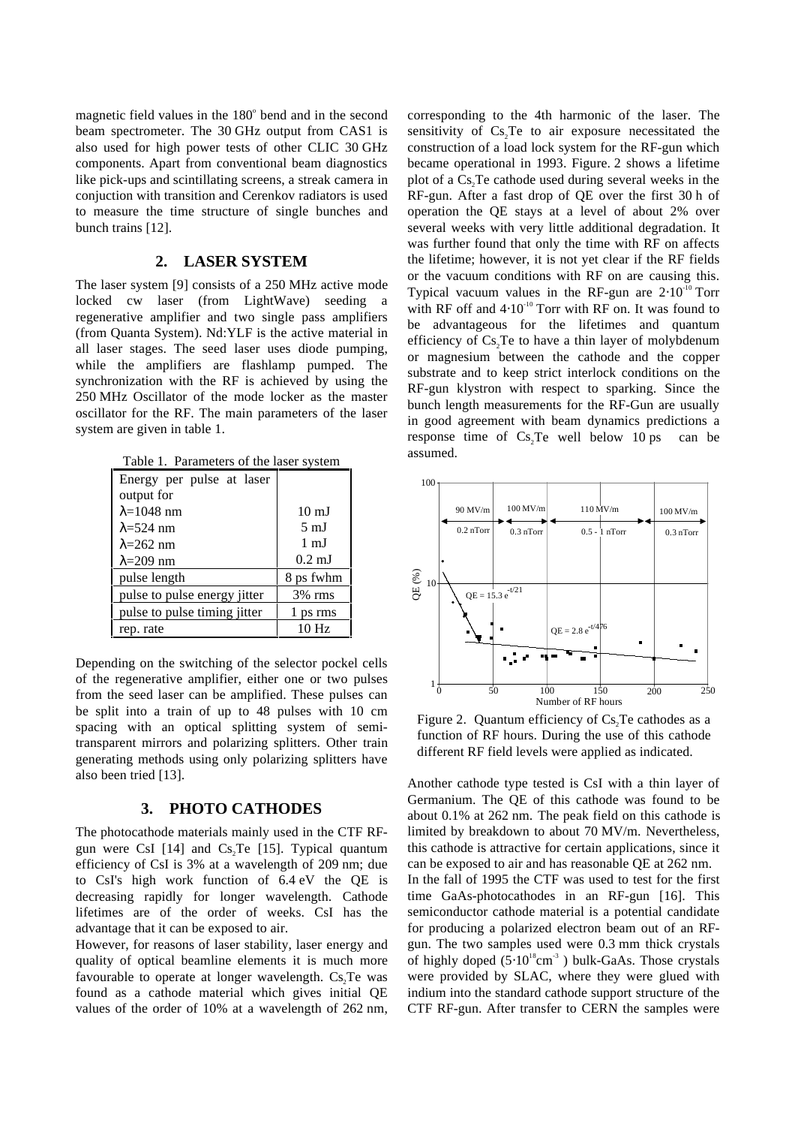magnetic field values in the 180° bend and in the second beam spectrometer. The 30 GHz output from CAS1 is also used for high power tests of other CLIC 30 GHz components. Apart from conventional beam diagnostics like pick-ups and scintillating screens, a streak camera in conjuction with transition and Cerenkov radiators is used to measure the time structure of single bunches and bunch trains [12].

#### **2. LASER SYSTEM**

The laser system [9] consists of a 250 MHz active mode locked cw laser (from LightWave) seeding a regenerative amplifier and two single pass amplifiers (from Quanta System). Nd:YLF is the active material in all laser stages. The seed laser uses diode pumping, while the amplifiers are flashlamp pumped. The synchronization with the RF is achieved by using the 250 MHz Oscillator of the mode locker as the master oscillator for the RF. The main parameters of the laser system are given in table 1.

| Table 1. Parameters of the laser system |                  |  |  |
|-----------------------------------------|------------------|--|--|
| Energy per pulse at laser               |                  |  |  |
| output for                              |                  |  |  |
| $\lambda$ =1048 nm                      | $10 \text{ mJ}$  |  |  |
| $\lambda$ =524 nm                       | $5 \text{ mJ}$   |  |  |
| $\lambda = 262$ nm                      | $1 \text{ mJ}$   |  |  |
| $\lambda = 209$ nm                      | $0.2 \text{ mJ}$ |  |  |
| pulse length                            | 8 ps fwhm        |  |  |
| pulse to pulse energy jitter            | $3\%$ rms        |  |  |
| pulse to pulse timing jitter            | 1 ps rms         |  |  |
| rep. rate                               | 10 <sub>Hz</sub> |  |  |

Depending on the switching of the selector pockel cells of the regenerative amplifier, either one or two pulses from the seed laser can be amplified. These pulses can be split into a train of up to 48 pulses with 10 cm spacing with an optical splitting system of semitransparent mirrors and polarizing splitters. Other train generating methods using only polarizing splitters have also been tried [13].

### **3. PHOTO CATHODES**

The photocathode materials mainly used in the CTF RFgun were CsI [14] and  $Cs$ <sup>T</sup>e [15]. Typical quantum efficiency of CsI is 3% at a wavelength of 209 nm; due to CsI's high work function of 6.4 eV the QE is decreasing rapidly for longer wavelength. Cathode lifetimes are of the order of weeks. CsI has the advantage that it can be exposed to air.

However, for reasons of laser stability, laser energy and quality of optical beamline elements it is much more favourable to operate at longer wavelength. Cs, Te was found as a cathode material which gives initial QE values of the order of 10% at a wavelength of 262 nm,

corresponding to the 4th harmonic of the laser. The sensitivity of  $Cs$ , Te to air exposure necessitated the construction of a load lock system for the RF-gun which became operational in 1993. Figure. 2 shows a lifetime plot of a Cs. Te cathode used during several weeks in the RF-gun. After a fast drop of QE over the first 30 h of operation the QE stays at a level of about 2% over several weeks with very little additional degradation. It was further found that only the time with RF on affects the lifetime; however, it is not yet clear if the RF fields or the vacuum conditions with RF on are causing this. Typical vacuum values in the RF-gun are  $2·10^{-10}$  Torr with RF off and  $4·10^{-10}$  Torr with RF on. It was found to be advantageous for the lifetimes and quantum efficiency of Cs, Te to have a thin layer of molybdenum or magnesium between the cathode and the copper substrate and to keep strict interlock conditions on the RF-gun klystron with respect to sparking. Since the bunch length measurements for the RF-Gun are usually in good agreement with beam dynamics predictions a response time of  $Cs$ , Te well below 10 ps can be assumed.



Figure 2. Quantum efficiency of  $Cs$ , Te cathodes as a function of RF hours. During the use of this cathode different RF field levels were applied as indicated.

Another cathode type tested is CsI with a thin layer of Germanium. The QE of this cathode was found to be about 0.1% at 262 nm. The peak field on this cathode is limited by breakdown to about 70 MV/m. Nevertheless, this cathode is attractive for certain applications, since it can be exposed to air and has reasonable QE at 262 nm. In the fall of 1995 the CTF was used to test for the first time GaAs-photocathodes in an RF-gun [16]. This semiconductor cathode material is a potential candidate for producing a polarized electron beam out of an RFgun. The two samples used were 0.3 mm thick crystals of highly doped  $(5.10^{18}cm^{-3})$  bulk-GaAs. Those crystals were provided by SLAC, where they were glued with indium into the standard cathode support structure of the CTF RF-gun. After transfer to CERN the samples were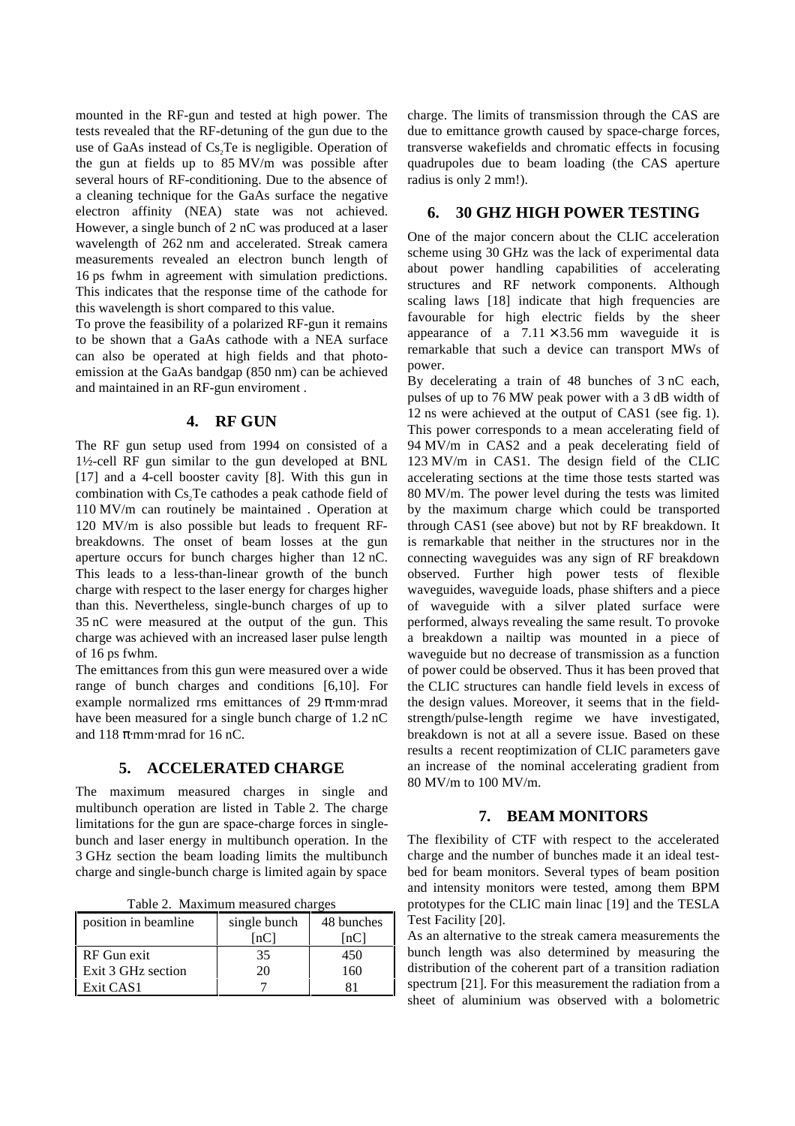mounted in the RF-gun and tested at high power. The tests revealed that the RF-detuning of the gun due to the use of GaAs instead of Cs, Te is negligible. Operation of the gun at fields up to 85 MV/m was possible after several hours of RF-conditioning. Due to the absence of a cleaning technique for the GaAs surface the negative electron affinity (NEA) state was not achieved. However, a single bunch of 2 nC was produced at a laser wavelength of 262 nm and accelerated. Streak camera measurements revealed an electron bunch length of 16 ps fwhm in agreement with simulation predictions. This indicates that the response time of the cathode for this wavelength is short compared to this value.

To prove the feasibility of a polarized RF-gun it remains to be shown that a GaAs cathode with a NEA surface can also be operated at high fields and that photoemission at the GaAs bandgap (850 nm) can be achieved and maintained in an RF-gun enviroment .

# **4. RF GUN**

The RF gun setup used from 1994 on consisted of a 1½-cell RF gun similar to the gun developed at BNL [17] and a 4-cell booster cavity [8]. With this gun in combination with Cs, Te cathodes a peak cathode field of 110 MV/m can routinely be maintained . Operation at 120 MV/m is also possible but leads to frequent RFbreakdowns. The onset of beam losses at the gun aperture occurs for bunch charges higher than 12 nC. This leads to a less-than-linear growth of the bunch charge with respect to the laser energy for charges higher than this. Nevertheless, single-bunch charges of up to 35 nC were measured at the output of the gun. This charge was achieved with an increased laser pulse length of 16 ps fwhm.

The emittances from this gun were measured over a wide range of bunch charges and conditions [6,10]. For example normalized rms emittances of 29  $\pi$ ⋅mm⋅mrad have been measured for a single bunch charge of 1.2 nC and 118  $\pi$ ·mm⋅mrad for 16 nC.

### **5. ACCELERATED CHARGE**

The maximum measured charges in single and multibunch operation are listed in Table 2. The charge limitations for the gun are space-charge forces in singlebunch and laser energy in multibunch operation. In the 3 GHz section the beam loading limits the multibunch charge and single-bunch charge is limited again by space

Table 2. Maximum measured charges

| position in beamline | single bunch | 48 bunches |
|----------------------|--------------|------------|
|                      |              | nC         |
| RF Gun exit          | 35           | 450        |
| Exit 3 GHz section   | 20           | 160        |
| Exit CAS1            |              |            |

charge. The limits of transmission through the CAS are due to emittance growth caused by space-charge forces, transverse wakefields and chromatic effects in focusing quadrupoles due to beam loading (the CAS aperture radius is only 2 mm!).

### **6. 30 GHZ HIGH POWER TESTING**

One of the major concern about the CLIC acceleration scheme using 30 GHz was the lack of experimental data about power handling capabilities of accelerating structures and RF network components. Although scaling laws [18] indicate that high frequencies are favourable for high electric fields by the sheer appearance of a  $7.11 \times 3.56$  mm waveguide it is remarkable that such a device can transport MWs of power.

By decelerating a train of 48 bunches of 3 nC each, pulses of up to 76 MW peak power with a 3 dB width of 12 ns were achieved at the output of CAS1 (see fig. 1). This power corresponds to a mean accelerating field of 94 MV/m in CAS2 and a peak decelerating field of 123 MV/m in CAS1. The design field of the CLIC accelerating sections at the time those tests started was 80 MV/m. The power level during the tests was limited by the maximum charge which could be transported through CAS1 (see above) but not by RF breakdown. It is remarkable that neither in the structures nor in the connecting waveguides was any sign of RF breakdown observed. Further high power tests of flexible waveguides, waveguide loads, phase shifters and a piece of waveguide with a silver plated surface were performed, always revealing the same result. To provoke a breakdown a nailtip was mounted in a piece of waveguide but no decrease of transmission as a function of power could be observed. Thus it has been proved that the CLIC structures can handle field levels in excess of the design values. Moreover, it seems that in the fieldstrength/pulse-length regime we have investigated, breakdown is not at all a severe issue. Based on these results a recent reoptimization of CLIC parameters gave an increase of the nominal accelerating gradient from 80 MV/m to 100 MV/m.

#### **7. BEAM MONITORS**

The flexibility of CTF with respect to the accelerated charge and the number of bunches made it an ideal testbed for beam monitors. Several types of beam position and intensity monitors were tested, among them BPM prototypes for the CLIC main linac [19] and the TESLA Test Facility [20].

As an alternative to the streak camera measurements the bunch length was also determined by measuring the distribution of the coherent part of a transition radiation spectrum [21]. For this measurement the radiation from a sheet of aluminium was observed with a bolometric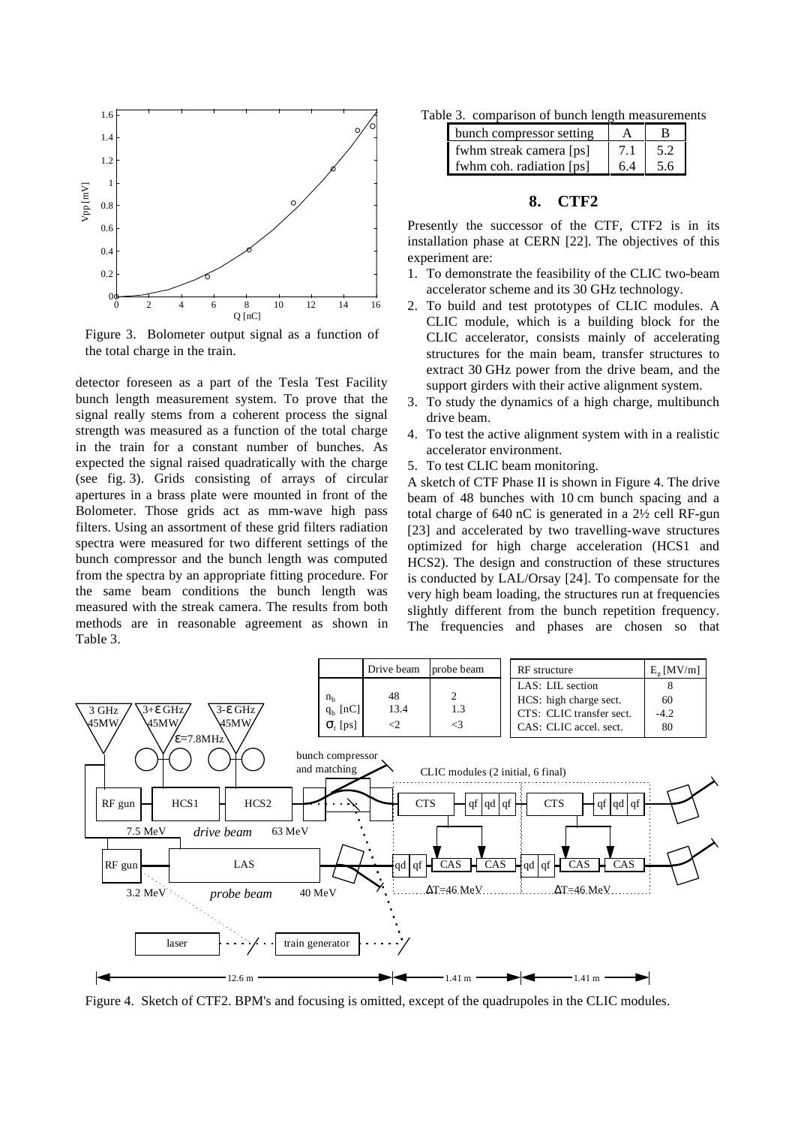

Figure 3. Bolometer output signal as a function of the total charge in the train.

detector foreseen as a part of the Tesla Test Facility bunch length measurement system. To prove that the signal really stems from a coherent process the signal strength was measured as a function of the total charge in the train for a constant number of bunches. As expected the signal raised quadratically with the charge (see fig. 3). Grids consisting of arrays of circular apertures in a brass plate were mounted in front of the Bolometer. Those grids act as mm-wave high pass filters. Using an assortment of these grid filters radiation spectra were measured for two different settings of the bunch compressor and the bunch length was computed from the spectra by an appropriate fitting procedure. For the same beam conditions the bunch length was measured with the streak camera. The results from both methods are in reasonable agreement as shown in Table 3.

Table 3. comparison of bunch length measurements

| bunch compressor setting |     |     |
|--------------------------|-----|-----|
| fwhm streak camera [ps]  | 7.1 | 5.2 |
| fwhm coh. radiation [ps] | 6.4 | 5.6 |

## **8. CTF2**

Presently the successor of the CTF, CTF2 is in its installation phase at CERN [22]. The objectives of this experiment are:

- 1. To demonstrate the feasibility of the CLIC two-beam accelerator scheme and its 30 GHz technology.
- 2. To build and test prototypes of CLIC modules. A CLIC module, which is a building block for the CLIC accelerator, consists mainly of accelerating structures for the main beam, transfer structures to extract 30 GHz power from the drive beam, and the support girders with their active alignment system.
- 3. To study the dynamics of a high charge, multibunch drive beam.
- 4. To test the active alignment system with in a realistic accelerator environment.
- 5. To test CLIC beam monitoring.

A sketch of CTF Phase II is shown in Figure 4. The drive beam of 48 bunches with 10 cm bunch spacing and a total charge of 640 nC is generated in a 2½ cell RF-gun [23] and accelerated by two travelling-wave structures optimized for high charge acceleration (HCS1 and HCS2). The design and construction of these structures is conducted by LAL/Orsay [24]. To compensate for the very high beam loading, the structures run at frequencies slightly different from the bunch repetition frequency. The frequencies and phases are chosen so that



Figure 4. Sketch of CTF2. BPM's and focusing is omitted, except of the quadrupoles in the CLIC modules.